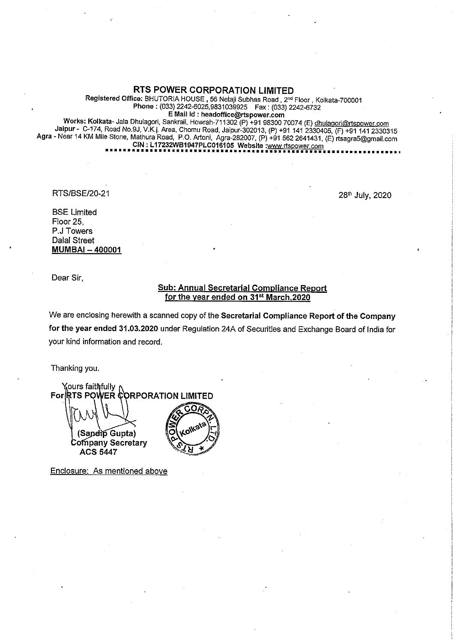## RTS POWER CORPORATION LIMITED

Registered Office: BHUTORIA HOUSE, 56 Netaji Subhas Road, 2<sup>nd</sup> Floor, Kolkata-700001 Phone: (033) 2242-6025,9831039925 Fax: (033) 2242-6732 <sup>E</sup> Mail Id : headoffice@rtspower.com

Works: Kolkata- Jala Dhulagori, Sankrail, Howrah-711302 (P) +91 98300 70074 (E) dhulagori@rtspower.com Jaipur- C-174, Road No.9J, V.K.I. Area, Chomu Road, Jaipur-302013, (P) +91 141 2330405, (F) +91 141 2330315 Agra - Near <sup>14</sup> KM Mile Stone, Mathura Road, P.O. Artoni, Agra-282007, (P) +91 <sup>562</sup> 2641431, (E) rtsagra5@gmail.com CIN: <sup>L</sup> 17232WB1947PLC016105 Website :www.rtspower.com •••••••••••••••••••••••••••••••••••••••••••••••••••••••••••••••••••

RTS/BSE/20-21

28th July, 2020

BSE Limited Floor 25, P.J Towers Dalal Street MUMBAI - 400001

Dear Sir,

## Sub: Annual Secretarial Compliance Report for the year ended on 31<sup>st</sup> March, 2020

We are enclosing herewith a scanned copy of the Secretarial Compliance Report of the Company for the year ended 31.03.2020 under Regulation 24A of Securities and Exchange Board of India for your kind information and record.

Thanking you.

Y<sub>λ</sub>ours faithτfully For RTS POWER CORPORATION LIMITED n, (Saperio Gupta) Company Secretary **ACS 5447** 

Enclosure: As mentioned above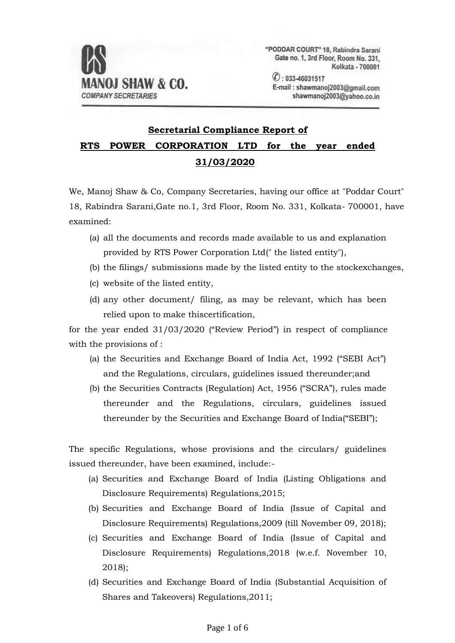

"PODDAR COURT" 18, Rabindra Sarani Gate no. 1, 3rd Floor, Room No. 331. Kolkata - 700001

 $O: 033 - 46031517$ E-mail: shawmanoj2003@gmail.com shawmanoj2003@yahoo.co.in

## **Secretarial Compliance Report of RTS POWER CORPORATION LTD for the year ended 31/03/2020**

We, Manoj Shaw & Co, Company Secretaries, having our office at "Poddar Court" 18, Rabindra Sarani,Gate no.1, 3rd Floor, Room No. 331, Kolkata- 700001, have examined:

- (a) all the documents and records made available to us and explanation provided by RTS Power Corporation Ltd(" the listed entity"),
- (b) the filings/ submissions made by the listed entity to the stockexchanges,
- (c) website of the listed entity,
- (d) any other document/ filing, as may be relevant, which has been relied upon to make thiscertification,

for the year ended 31/03/2020 ("Review Period") in respect of compliance with the provisions of :

- (a) the Securities and Exchange Board of India Act, 1992 ("SEBI Act") and the Regulations, circulars, guidelines issued thereunder;and
- (b) the Securities Contracts (Regulation) Act, 1956 ("SCRA"), rules made thereunder and the Regulations, circulars, guidelines issued thereunder by the Securities and Exchange Board of India("SEBI");

The specific Regulations, whose provisions and the circulars/ guidelines issued thereunder, have been examined, include:-

- (a) Securities and Exchange Board of India (Listing Obligations and Disclosure Requirements) Regulations,2015;
- (b) Securities and Exchange Board of India (Issue of Capital and Disclosure Requirements) Regulations,2009 (till November 09, 2018);
- (c) Securities and Exchange Board of India (Issue of Capital and Disclosure Requirements) Regulations,2018 (w.e.f. November 10, 2018);
- (d) Securities and Exchange Board of India (Substantial Acquisition of Shares and Takeovers) Regulations,2011;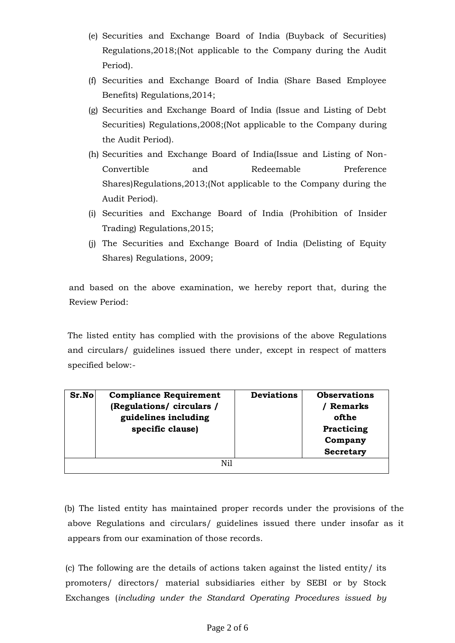- (e) Securities and Exchange Board of India (Buyback of Securities) Regulations,2018;(Not applicable to the Company during the Audit Period).
- (f) Securities and Exchange Board of India (Share Based Employee Benefits) Regulations,2014;
- (g) Securities and Exchange Board of India (Issue and Listing of Debt Securities) Regulations,2008;(Not applicable to the Company during the Audit Period).
- (h) Securities and Exchange Board of India(Issue and Listing of Non-Convertible and Redeemable Preference Shares)Regulations,2013;(Not applicable to the Company during the Audit Period).
- (i) Securities and Exchange Board of India (Prohibition of Insider Trading) Regulations,2015;
- (j) The Securities and Exchange Board of India (Delisting of Equity Shares) Regulations, 2009;

and based on the above examination, we hereby report that, during the Review Period:

The listed entity has complied with the provisions of the above Regulations and circulars/ guidelines issued there under, except in respect of matters specified below:-

| Sr.No | <b>Compliance Requirement</b> | <b>Deviations</b> | <b>Observations</b> |
|-------|-------------------------------|-------------------|---------------------|
|       | (Regulations/ circulars /     |                   | <b>Remarks</b>      |
|       | guidelines including          |                   | ofthe               |
|       | specific clause)              |                   | Practicing          |
|       |                               |                   | Company             |
|       |                               |                   | <b>Secretary</b>    |
|       | Nil                           |                   |                     |

(b) The listed entity has maintained proper records under the provisions of the above Regulations and circulars/ guidelines issued there under insofar as it appears from our examination of those records.

(c) The following are the details of actions taken against the listed entity/ its promoters/ directors/ material subsidiaries either by SEBI or by Stock Exchanges (*including under the Standard Operating Procedures issued by*